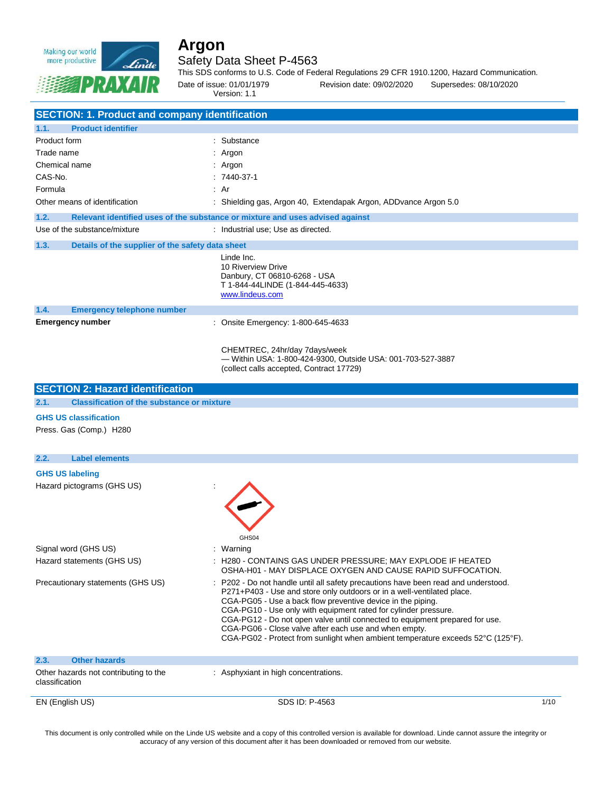

### Safety Data Sheet P-4563

This SDS conforms to U.S. Code of Federal Regulations 29 CFR 1910.1200, Hazard Communication. Date of issue: 01/01/1979 Revision date: 09/02/2020 Supersedes: 08/10/2020

Version: 1.1

| <b>SECTION: 1. Product and company identification</b>     |                                                                                                                                                                                                                                                                                                                                                                                                                                                                                                                           |
|-----------------------------------------------------------|---------------------------------------------------------------------------------------------------------------------------------------------------------------------------------------------------------------------------------------------------------------------------------------------------------------------------------------------------------------------------------------------------------------------------------------------------------------------------------------------------------------------------|
| <b>Product identifier</b>                                 |                                                                                                                                                                                                                                                                                                                                                                                                                                                                                                                           |
| 1.1.<br>Product form                                      |                                                                                                                                                                                                                                                                                                                                                                                                                                                                                                                           |
|                                                           | : Substance                                                                                                                                                                                                                                                                                                                                                                                                                                                                                                               |
| Trade name                                                | : Argon                                                                                                                                                                                                                                                                                                                                                                                                                                                                                                                   |
| Chemical name                                             | : Argon                                                                                                                                                                                                                                                                                                                                                                                                                                                                                                                   |
| CAS-No.                                                   | $: 7440-37-1$                                                                                                                                                                                                                                                                                                                                                                                                                                                                                                             |
| Formula                                                   | : Ar                                                                                                                                                                                                                                                                                                                                                                                                                                                                                                                      |
| Other means of identification                             | : Shielding gas, Argon 40, Extendapak Argon, ADDvance Argon 5.0                                                                                                                                                                                                                                                                                                                                                                                                                                                           |
| 1.2.                                                      | Relevant identified uses of the substance or mixture and uses advised against                                                                                                                                                                                                                                                                                                                                                                                                                                             |
| Use of the substance/mixture                              | : Industrial use; Use as directed.                                                                                                                                                                                                                                                                                                                                                                                                                                                                                        |
| 1.3.<br>Details of the supplier of the safety data sheet  |                                                                                                                                                                                                                                                                                                                                                                                                                                                                                                                           |
|                                                           | Linde Inc.<br>10 Riverview Drive<br>Danbury, CT 06810-6268 - USA<br>T 1-844-44LINDE (1-844-445-4633)<br>www.lindeus.com                                                                                                                                                                                                                                                                                                                                                                                                   |
| 1.4.<br><b>Emergency telephone number</b>                 |                                                                                                                                                                                                                                                                                                                                                                                                                                                                                                                           |
| <b>Emergency number</b>                                   | : Onsite Emergency: 1-800-645-4633                                                                                                                                                                                                                                                                                                                                                                                                                                                                                        |
|                                                           | CHEMTREC, 24hr/day 7days/week<br>- Within USA: 1-800-424-9300, Outside USA: 001-703-527-3887<br>(collect calls accepted, Contract 17729)                                                                                                                                                                                                                                                                                                                                                                                  |
| <b>SECTION 2: Hazard identification</b>                   |                                                                                                                                                                                                                                                                                                                                                                                                                                                                                                                           |
| <b>Classification of the substance or mixture</b><br>2.1. |                                                                                                                                                                                                                                                                                                                                                                                                                                                                                                                           |
| <b>GHS US classification</b>                              |                                                                                                                                                                                                                                                                                                                                                                                                                                                                                                                           |
| Press. Gas (Comp.) H280                                   |                                                                                                                                                                                                                                                                                                                                                                                                                                                                                                                           |
|                                                           |                                                                                                                                                                                                                                                                                                                                                                                                                                                                                                                           |
| 2.2.<br><b>Label elements</b>                             |                                                                                                                                                                                                                                                                                                                                                                                                                                                                                                                           |
| <b>GHS US labeling</b>                                    |                                                                                                                                                                                                                                                                                                                                                                                                                                                                                                                           |
| Hazard pictograms (GHS US)                                |                                                                                                                                                                                                                                                                                                                                                                                                                                                                                                                           |
|                                                           | GHS04                                                                                                                                                                                                                                                                                                                                                                                                                                                                                                                     |
| Signal word (GHS US)                                      | Warning                                                                                                                                                                                                                                                                                                                                                                                                                                                                                                                   |
| Hazard statements (GHS US)                                | : H280 - CONTAINS GAS UNDER PRESSURE; MAY EXPLODE IF HEATED<br>OSHA-H01 - MAY DISPLACE OXYGEN AND CAUSE RAPID SUFFOCATION.                                                                                                                                                                                                                                                                                                                                                                                                |
| Precautionary statements (GHS US)                         | : P202 - Do not handle until all safety precautions have been read and understood.<br>P271+P403 - Use and store only outdoors or in a well-ventilated place.<br>CGA-PG05 - Use a back flow preventive device in the piping.<br>CGA-PG10 - Use only with equipment rated for cylinder pressure.<br>CGA-PG12 - Do not open valve until connected to equipment prepared for use.<br>CGA-PG06 - Close valve after each use and when empty.<br>CGA-PG02 - Protect from sunlight when ambient temperature exceeds 52°C (125°F). |
| <b>Other hazards</b><br>2.3.                              |                                                                                                                                                                                                                                                                                                                                                                                                                                                                                                                           |
| Other hazards not contributing to the<br>classification   | : Asphyxiant in high concentrations.                                                                                                                                                                                                                                                                                                                                                                                                                                                                                      |

EN (English US) SDS ID: P-4563 1/10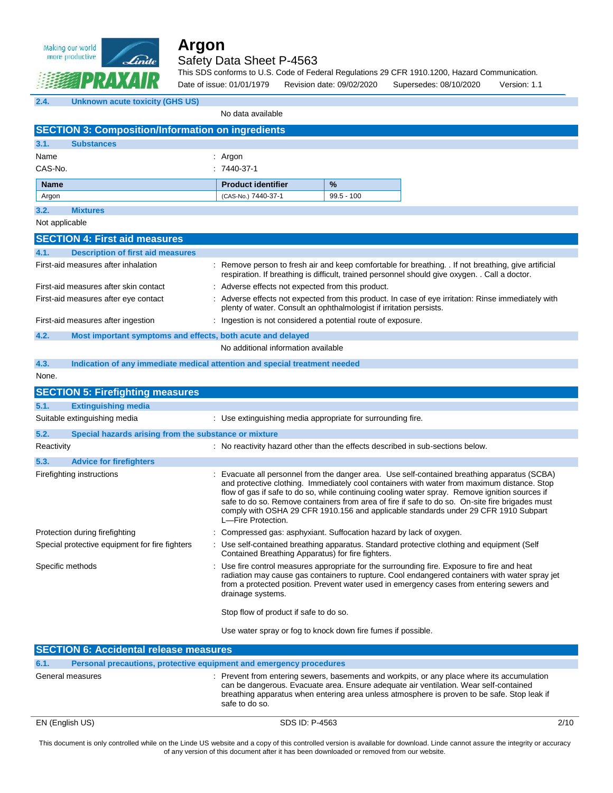

### Safety Data Sheet P-4563

This SDS conforms to U.S. Code of Federal Regulations 29 CFR 1910.1200, Hazard Communication. Date of issue: 01/01/1979 Revision date: 09/02/2020 Supersedes: 08/10/2020 Version: 1.1

**2.4. Unknown acute toxicity (GHS US)**

No data available **SECTION 3: Composition/Information on ingredients 3.1. Substances** Name : Argon CAS-No. : 7440-37-1 **Name Product identifier %** Argon (CAS-No.) 7440-37-1 99.5 - 100 **3.2. Mixtures**

### Not applicable

|            | <b>SECTION 4: First aid measures</b>                        |                                                                                                                                                                                                                                                                                                                                                                                                                                                                                                             |
|------------|-------------------------------------------------------------|-------------------------------------------------------------------------------------------------------------------------------------------------------------------------------------------------------------------------------------------------------------------------------------------------------------------------------------------------------------------------------------------------------------------------------------------------------------------------------------------------------------|
| 4.1.       | <b>Description of first aid measures</b>                    |                                                                                                                                                                                                                                                                                                                                                                                                                                                                                                             |
|            | First-aid measures after inhalation                         | : Remove person to fresh air and keep comfortable for breathing. If not breathing, give artificial<br>respiration. If breathing is difficult, trained personnel should give oxygen. . Call a doctor.                                                                                                                                                                                                                                                                                                        |
|            | First-aid measures after skin contact                       | : Adverse effects not expected from this product.                                                                                                                                                                                                                                                                                                                                                                                                                                                           |
|            | First-aid measures after eye contact                        | : Adverse effects not expected from this product. In case of eye irritation: Rinse immediately with<br>plenty of water. Consult an ophthalmologist if irritation persists.                                                                                                                                                                                                                                                                                                                                  |
|            | First-aid measures after ingestion                          | : Ingestion is not considered a potential route of exposure.                                                                                                                                                                                                                                                                                                                                                                                                                                                |
| 4.2.       | Most important symptoms and effects, both acute and delayed |                                                                                                                                                                                                                                                                                                                                                                                                                                                                                                             |
|            |                                                             | No additional information available                                                                                                                                                                                                                                                                                                                                                                                                                                                                         |
| 4.3.       |                                                             | Indication of any immediate medical attention and special treatment needed                                                                                                                                                                                                                                                                                                                                                                                                                                  |
| None.      |                                                             |                                                                                                                                                                                                                                                                                                                                                                                                                                                                                                             |
|            | <b>SECTION 5: Firefighting measures</b>                     |                                                                                                                                                                                                                                                                                                                                                                                                                                                                                                             |
| 5.1.       | <b>Extinguishing media</b>                                  |                                                                                                                                                                                                                                                                                                                                                                                                                                                                                                             |
|            | Suitable extinguishing media                                | : Use extinguishing media appropriate for surrounding fire.                                                                                                                                                                                                                                                                                                                                                                                                                                                 |
| 5.2.       | Special hazards arising from the substance or mixture       |                                                                                                                                                                                                                                                                                                                                                                                                                                                                                                             |
| Reactivity |                                                             | : No reactivity hazard other than the effects described in sub-sections below.                                                                                                                                                                                                                                                                                                                                                                                                                              |
| 5.3.       | <b>Advice for firefighters</b>                              |                                                                                                                                                                                                                                                                                                                                                                                                                                                                                                             |
|            | Firefighting instructions                                   | Evacuate all personnel from the danger area. Use self-contained breathing apparatus (SCBA)<br>and protective clothing. Immediately cool containers with water from maximum distance. Stop<br>flow of gas if safe to do so, while continuing cooling water spray. Remove ignition sources if<br>safe to do so. Remove containers from area of fire if safe to do so. On-site fire brigades must<br>comply with OSHA 29 CFR 1910.156 and applicable standards under 29 CFR 1910 Subpart<br>L-Fire Protection. |
|            | Protection during firefighting                              | : Compressed gas: asphyxiant. Suffocation hazard by lack of oxygen.                                                                                                                                                                                                                                                                                                                                                                                                                                         |
|            | Special protective equipment for fire fighters              | : Use self-contained breathing apparatus. Standard protective clothing and equipment (Self<br>Contained Breathing Apparatus) for fire fighters.                                                                                                                                                                                                                                                                                                                                                             |
|            | Specific methods                                            | : Use fire control measures appropriate for the surrounding fire. Exposure to fire and heat<br>radiation may cause gas containers to rupture. Cool endangered containers with water spray jet<br>from a protected position. Prevent water used in emergency cases from entering sewers and<br>drainage systems.                                                                                                                                                                                             |
|            |                                                             | Stop flow of product if safe to do so.                                                                                                                                                                                                                                                                                                                                                                                                                                                                      |
|            |                                                             | Use water spray or fog to knock down fire fumes if possible.                                                                                                                                                                                                                                                                                                                                                                                                                                                |

| <b>SECTION 6: Accidental release measures</b> |  |                                                                                                                                                                                                                                                                                     |      |  |
|-----------------------------------------------|--|-------------------------------------------------------------------------------------------------------------------------------------------------------------------------------------------------------------------------------------------------------------------------------------|------|--|
| 6.1.                                          |  | Personal precautions, protective equipment and emergency procedures                                                                                                                                                                                                                 |      |  |
| General measures<br>safe to do so.            |  | : Prevent from entering sewers, basements and workpits, or any place where its accumulation<br>can be dangerous. Evacuate area. Ensure adequate air ventilation. Wear self-contained<br>breathing apparatus when entering area unless atmosphere is proven to be safe. Stop leak if |      |  |
| EN (English US)                               |  | SDS ID: P-4563                                                                                                                                                                                                                                                                      | 2/10 |  |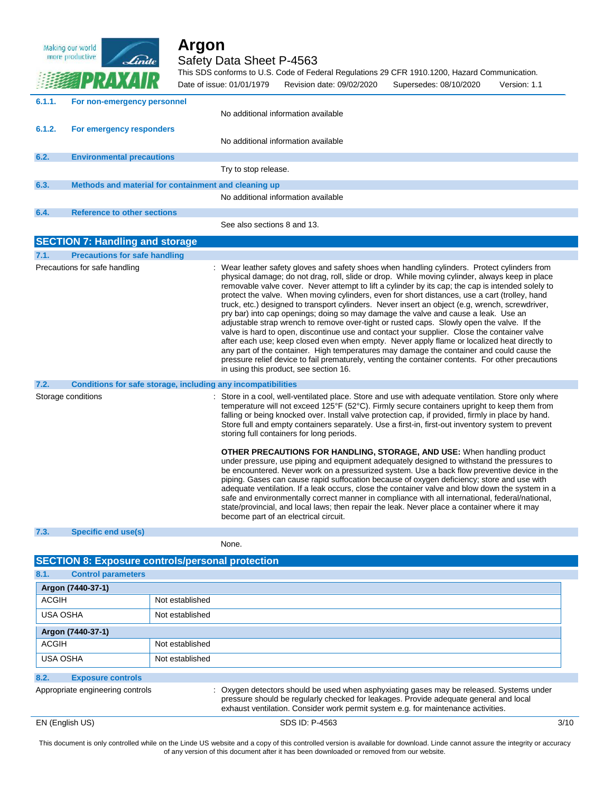

Safety Data Sheet P-4563

This SDS conforms to U.S. Code of Federal Regulations 29 CFR 1910.1200, Hazard Communication. Date of issue: 01/01/1979 Revision date: 09/02/2020 Supersedes: 08/10/2020 Version: 1.1

|        |                                        | Dalt UI 1550t. UT/UT/T979                                    | NUMBIUII UAIU. UY/UZ/ZUZU                                                                                                                                                                                                                                                                                                                                                                                                                                                                                                                                                                                                                                                                                                                                                                                                                                                                                                                                                                                                                                                                                                                                                                | Ouperseurs. Vol TU/ZUZU | VEISIUIL I.I |
|--------|----------------------------------------|--------------------------------------------------------------|------------------------------------------------------------------------------------------------------------------------------------------------------------------------------------------------------------------------------------------------------------------------------------------------------------------------------------------------------------------------------------------------------------------------------------------------------------------------------------------------------------------------------------------------------------------------------------------------------------------------------------------------------------------------------------------------------------------------------------------------------------------------------------------------------------------------------------------------------------------------------------------------------------------------------------------------------------------------------------------------------------------------------------------------------------------------------------------------------------------------------------------------------------------------------------------|-------------------------|--------------|
| 6.1.1. | For non-emergency personnel            |                                                              | No additional information available                                                                                                                                                                                                                                                                                                                                                                                                                                                                                                                                                                                                                                                                                                                                                                                                                                                                                                                                                                                                                                                                                                                                                      |                         |              |
| 6.1.2. | For emergency responders               |                                                              | No additional information available                                                                                                                                                                                                                                                                                                                                                                                                                                                                                                                                                                                                                                                                                                                                                                                                                                                                                                                                                                                                                                                                                                                                                      |                         |              |
| 6.2.   | <b>Environmental precautions</b>       |                                                              |                                                                                                                                                                                                                                                                                                                                                                                                                                                                                                                                                                                                                                                                                                                                                                                                                                                                                                                                                                                                                                                                                                                                                                                          |                         |              |
|        |                                        | Try to stop release.                                         |                                                                                                                                                                                                                                                                                                                                                                                                                                                                                                                                                                                                                                                                                                                                                                                                                                                                                                                                                                                                                                                                                                                                                                                          |                         |              |
| 6.3.   |                                        | Methods and material for containment and cleaning up         |                                                                                                                                                                                                                                                                                                                                                                                                                                                                                                                                                                                                                                                                                                                                                                                                                                                                                                                                                                                                                                                                                                                                                                                          |                         |              |
|        |                                        |                                                              | No additional information available                                                                                                                                                                                                                                                                                                                                                                                                                                                                                                                                                                                                                                                                                                                                                                                                                                                                                                                                                                                                                                                                                                                                                      |                         |              |
| 6.4.   | <b>Reference to other sections</b>     |                                                              |                                                                                                                                                                                                                                                                                                                                                                                                                                                                                                                                                                                                                                                                                                                                                                                                                                                                                                                                                                                                                                                                                                                                                                                          |                         |              |
|        |                                        | See also sections 8 and 13.                                  |                                                                                                                                                                                                                                                                                                                                                                                                                                                                                                                                                                                                                                                                                                                                                                                                                                                                                                                                                                                                                                                                                                                                                                                          |                         |              |
|        | <b>SECTION 7: Handling and storage</b> |                                                              |                                                                                                                                                                                                                                                                                                                                                                                                                                                                                                                                                                                                                                                                                                                                                                                                                                                                                                                                                                                                                                                                                                                                                                                          |                         |              |
| 7.1.   | <b>Precautions for safe handling</b>   |                                                              |                                                                                                                                                                                                                                                                                                                                                                                                                                                                                                                                                                                                                                                                                                                                                                                                                                                                                                                                                                                                                                                                                                                                                                                          |                         |              |
|        | Precautions for safe handling          |                                                              | : Wear leather safety gloves and safety shoes when handling cylinders. Protect cylinders from<br>physical damage; do not drag, roll, slide or drop. While moving cylinder, always keep in place<br>removable valve cover. Never attempt to lift a cylinder by its cap; the cap is intended solely to<br>protect the valve. When moving cylinders, even for short distances, use a cart (trolley, hand<br>truck, etc.) designed to transport cylinders. Never insert an object (e.g, wrench, screwdriver,<br>pry bar) into cap openings; doing so may damage the valve and cause a leak. Use an<br>adjustable strap wrench to remove over-tight or rusted caps. Slowly open the valve. If the<br>valve is hard to open, discontinue use and contact your supplier. Close the container valve<br>after each use; keep closed even when empty. Never apply flame or localized heat directly to<br>any part of the container. High temperatures may damage the container and could cause the<br>pressure relief device to fail prematurely, venting the container contents. For other precautions<br>in using this product, see section 16.                                                  |                         |              |
| 7.2.   | Storage conditions                     | Conditions for safe storage, including any incompatibilities | : Store in a cool, well-ventilated place. Store and use with adequate ventilation. Store only where<br>temperature will not exceed 125°F (52°C). Firmly secure containers upright to keep them from<br>falling or being knocked over. Install valve protection cap, if provided, firmly in place by hand.<br>Store full and empty containers separately. Use a first-in, first-out inventory system to prevent<br>storing full containers for long periods.<br><b>OTHER PRECAUTIONS FOR HANDLING, STORAGE, AND USE:</b> When handling product<br>under pressure, use piping and equipment adequately designed to withstand the pressures to<br>be encountered. Never work on a pressurized system. Use a back flow preventive device in the<br>piping. Gases can cause rapid suffocation because of oxygen deficiency; store and use with<br>adequate ventilation. If a leak occurs, close the container valve and blow down the system in a<br>safe and environmentally correct manner in compliance with all international, federal/national,<br>state/provincial, and local laws; then repair the leak. Never place a container where it may<br>become part of an electrical circuit. |                         |              |
| 7.3.   | Specific end use(s)                    |                                                              |                                                                                                                                                                                                                                                                                                                                                                                                                                                                                                                                                                                                                                                                                                                                                                                                                                                                                                                                                                                                                                                                                                                                                                                          |                         |              |

None.

### **SECTION 8: Exposure controls/personal protection 8.1. Control parameters Argon (7440-37-1)** ACGIH Not established USA OSHA Not established **Argon (7440-37-1)** ACGIH Not established USA OSHA Not established **8.2. Exposure controls** Appropriate engineering controls : Oxygen detectors should be used when asphyxiating gases may be released. Systems under pressure should be regularly checked for leakages. Provide adequate general and local exhaust ventilation. Consider work permit system e.g. for maintenance activities.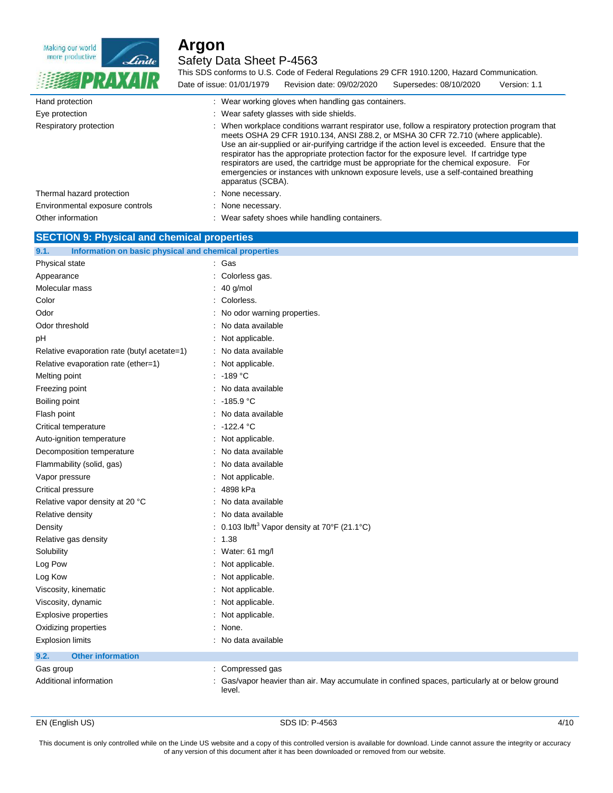



### Safety Data Sheet P-4563

This SDS conforms to U.S. Code of Federal Regulations 29 CFR 1910.1200, Hazard Communication. Date of issue: 01/01/1979 Revision date: 09/02/2020 Supersedes: 08/10/2020 Version: 1.1

| Hand protection                                               | : Wear working gloves when handling gas containers.                                                                                                                                                                                                                                                                                                                                                                                                                                                                                                                                          |
|---------------------------------------------------------------|----------------------------------------------------------------------------------------------------------------------------------------------------------------------------------------------------------------------------------------------------------------------------------------------------------------------------------------------------------------------------------------------------------------------------------------------------------------------------------------------------------------------------------------------------------------------------------------------|
| Eye protection                                                | : Wear safety glasses with side shields.                                                                                                                                                                                                                                                                                                                                                                                                                                                                                                                                                     |
| Respiratory protection                                        | When workplace conditions warrant respirator use, follow a respiratory protection program that<br>meets OSHA 29 CFR 1910.134, ANSI Z88.2, or MSHA 30 CFR 72.710 (where applicable).<br>Use an air-supplied or air-purifying cartridge if the action level is exceeded. Ensure that the<br>respirator has the appropriate protection factor for the exposure level. If cartridge type<br>respirators are used, the cartridge must be appropriate for the chemical exposure. For<br>emergencies or instances with unknown exposure levels, use a self-contained breathing<br>apparatus (SCBA). |
| Thermal hazard protection                                     | : None necessary.                                                                                                                                                                                                                                                                                                                                                                                                                                                                                                                                                                            |
| Environmental exposure controls                               | : None necessary.                                                                                                                                                                                                                                                                                                                                                                                                                                                                                                                                                                            |
| Other information                                             | : Wear safety shoes while handling containers.                                                                                                                                                                                                                                                                                                                                                                                                                                                                                                                                               |
| <b>SECTION 9: Physical and chemical properties</b>            |                                                                                                                                                                                                                                                                                                                                                                                                                                                                                                                                                                                              |
| 9.1.<br>Information on basic physical and chemical properties |                                                                                                                                                                                                                                                                                                                                                                                                                                                                                                                                                                                              |
|                                                               |                                                                                                                                                                                                                                                                                                                                                                                                                                                                                                                                                                                              |
| Physical state                                                | : Gas                                                                                                                                                                                                                                                                                                                                                                                                                                                                                                                                                                                        |
| Appearance                                                    | : Colorless gas.                                                                                                                                                                                                                                                                                                                                                                                                                                                                                                                                                                             |
| Molecular mass                                                | 40 g/mol                                                                                                                                                                                                                                                                                                                                                                                                                                                                                                                                                                                     |
| Color                                                         | : Colorless.                                                                                                                                                                                                                                                                                                                                                                                                                                                                                                                                                                                 |
| Odor                                                          | : No odor warning properties.                                                                                                                                                                                                                                                                                                                                                                                                                                                                                                                                                                |
| Odor threshold                                                | : No data available                                                                                                                                                                                                                                                                                                                                                                                                                                                                                                                                                                          |
| pH                                                            | $:$ Not applicable.                                                                                                                                                                                                                                                                                                                                                                                                                                                                                                                                                                          |
| Relative evaporation rate (butyl acetate=1)                   | : No data available                                                                                                                                                                                                                                                                                                                                                                                                                                                                                                                                                                          |
| Relative evaporation rate (ether=1)                           | : Not applicable.                                                                                                                                                                                                                                                                                                                                                                                                                                                                                                                                                                            |
| Melting point                                                 | $: -189 °C$                                                                                                                                                                                                                                                                                                                                                                                                                                                                                                                                                                                  |
| Freezing point                                                | : No data available                                                                                                                                                                                                                                                                                                                                                                                                                                                                                                                                                                          |
| Boiling point                                                 | $: -185.9 °C$                                                                                                                                                                                                                                                                                                                                                                                                                                                                                                                                                                                |
| Flash point                                                   | No data available                                                                                                                                                                                                                                                                                                                                                                                                                                                                                                                                                                            |

- 
- Critical temperature : -122.4 °C Auto-ignition temperature : Not applicable.
- Decomposition temperature : No data available
- Flammability (solid, gas) : No data available
- Vapor pressure in the set of the state of the Not applicable.
- Critical pressure : 4898 kPa
- Relative vapor density at 20 °C : No data available
- Relative density **in the case of the CO** and CO at a vailable
- Density Density **Density** : 0.103 lb/ft<sup>3</sup> Vapor density at 70°F (21.1°C)
- Relative gas density **EXECUTE:** 1.38 Solubility : Water: 61 mg/l
- Log Pow : Not applicable.
- Log Kow : Not applicable.
- Viscosity, kinematic intervals of the state of the Not applicable. Viscosity, dynamic intervals of the state of the Not applicable.
- Explosive properties in the set of the state of the September 2011 in the September 2016 in the September 2016
- Oxidizing properties in the state of the state of the SN one.
- Explosion limits **Explosion** limits **in the set of the set of the set of the set of the set of the set of the set of the set of the set of the set of the set of the set of the set of the set of the set of the set of the se**
- **9.2. Other information**

- Gas group  $\qquad \qquad$ : Compressed gas
- Additional information **included in the state of Casa** Cas/vapor heavier than air. May accumulate in confined spaces, particularly at or below ground level.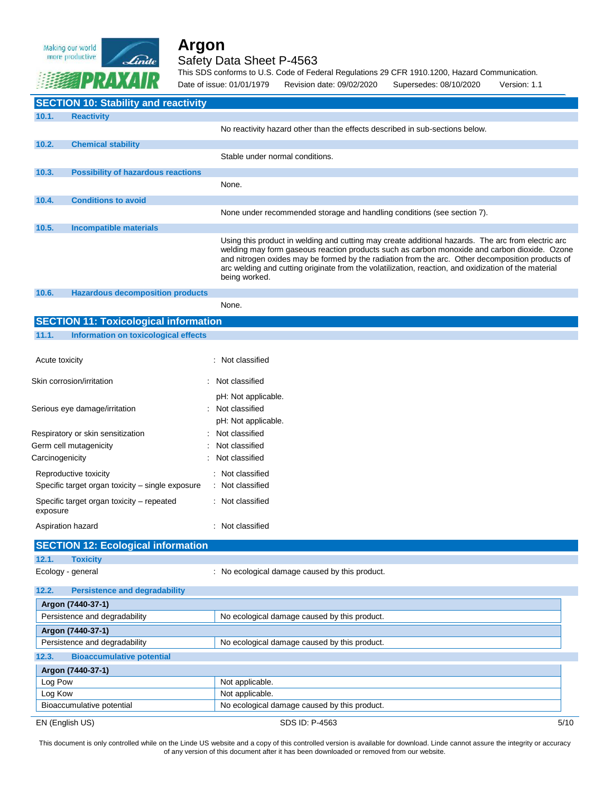

Safety Data Sheet P-4563

This SDS conforms to U.S. Code of Federal Regulations 29 CFR 1910.1200, Hazard Communication. Date of issue: 01/01/1979 Revision date: 09/02/2020 Supersedes: 08/10/2020 Version: 1.1

|                 | <b>SECTION 10: Stability and reactivity</b>      |                                                                                                                                                                                                                                                                                                                                                                                                                                 |      |
|-----------------|--------------------------------------------------|---------------------------------------------------------------------------------------------------------------------------------------------------------------------------------------------------------------------------------------------------------------------------------------------------------------------------------------------------------------------------------------------------------------------------------|------|
| 10.1.           | <b>Reactivity</b>                                |                                                                                                                                                                                                                                                                                                                                                                                                                                 |      |
|                 |                                                  | No reactivity hazard other than the effects described in sub-sections below.                                                                                                                                                                                                                                                                                                                                                    |      |
| 10.2.           | <b>Chemical stability</b>                        |                                                                                                                                                                                                                                                                                                                                                                                                                                 |      |
|                 |                                                  | Stable under normal conditions.                                                                                                                                                                                                                                                                                                                                                                                                 |      |
| 10.3.           | <b>Possibility of hazardous reactions</b>        |                                                                                                                                                                                                                                                                                                                                                                                                                                 |      |
|                 |                                                  | None.                                                                                                                                                                                                                                                                                                                                                                                                                           |      |
| 10.4.           | <b>Conditions to avoid</b>                       |                                                                                                                                                                                                                                                                                                                                                                                                                                 |      |
|                 |                                                  | None under recommended storage and handling conditions (see section 7).                                                                                                                                                                                                                                                                                                                                                         |      |
| 10.5.           | <b>Incompatible materials</b>                    |                                                                                                                                                                                                                                                                                                                                                                                                                                 |      |
|                 |                                                  | Using this product in welding and cutting may create additional hazards. The arc from electric arc<br>welding may form gaseous reaction products such as carbon monoxide and carbon dioxide. Ozone<br>and nitrogen oxides may be formed by the radiation from the arc. Other decomposition products of<br>arc welding and cutting originate from the volatilization, reaction, and oxidization of the material<br>being worked. |      |
| 10.6.           | <b>Hazardous decomposition products</b>          |                                                                                                                                                                                                                                                                                                                                                                                                                                 |      |
|                 |                                                  | None.                                                                                                                                                                                                                                                                                                                                                                                                                           |      |
|                 | <b>SECTION 11: Toxicological information</b>     |                                                                                                                                                                                                                                                                                                                                                                                                                                 |      |
| 11.1.           | <b>Information on toxicological effects</b>      |                                                                                                                                                                                                                                                                                                                                                                                                                                 |      |
|                 |                                                  |                                                                                                                                                                                                                                                                                                                                                                                                                                 |      |
| Acute toxicity  |                                                  | : Not classified                                                                                                                                                                                                                                                                                                                                                                                                                |      |
|                 | Skin corrosion/irritation                        | Not classified                                                                                                                                                                                                                                                                                                                                                                                                                  |      |
|                 |                                                  | pH: Not applicable.                                                                                                                                                                                                                                                                                                                                                                                                             |      |
|                 | Serious eye damage/irritation                    | Not classified                                                                                                                                                                                                                                                                                                                                                                                                                  |      |
|                 |                                                  | pH: Not applicable.                                                                                                                                                                                                                                                                                                                                                                                                             |      |
|                 | Respiratory or skin sensitization                | Not classified                                                                                                                                                                                                                                                                                                                                                                                                                  |      |
|                 | Germ cell mutagenicity                           | Not classified                                                                                                                                                                                                                                                                                                                                                                                                                  |      |
| Carcinogenicity |                                                  | Not classified                                                                                                                                                                                                                                                                                                                                                                                                                  |      |
|                 | Reproductive toxicity                            | : Not classified                                                                                                                                                                                                                                                                                                                                                                                                                |      |
|                 | Specific target organ toxicity - single exposure | : Not classified                                                                                                                                                                                                                                                                                                                                                                                                                |      |
|                 | Specific target organ toxicity - repeated        | : Not classified                                                                                                                                                                                                                                                                                                                                                                                                                |      |
| exposure        |                                                  |                                                                                                                                                                                                                                                                                                                                                                                                                                 |      |
|                 | Aspiration hazard                                | : Not classified                                                                                                                                                                                                                                                                                                                                                                                                                |      |
|                 | <b>SECTION 12: Ecological information</b>        |                                                                                                                                                                                                                                                                                                                                                                                                                                 |      |
| 12.1.           | <b>Toxicity</b>                                  |                                                                                                                                                                                                                                                                                                                                                                                                                                 |      |
|                 | Ecology - general                                | : No ecological damage caused by this product.                                                                                                                                                                                                                                                                                                                                                                                  |      |
| 12.2.           | <b>Persistence and degradability</b>             |                                                                                                                                                                                                                                                                                                                                                                                                                                 |      |
|                 | Argon (7440-37-1)                                |                                                                                                                                                                                                                                                                                                                                                                                                                                 |      |
|                 | Persistence and degradability                    | No ecological damage caused by this product.                                                                                                                                                                                                                                                                                                                                                                                    |      |
|                 | Argon (7440-37-1)                                |                                                                                                                                                                                                                                                                                                                                                                                                                                 |      |
|                 | Persistence and degradability                    | No ecological damage caused by this product.                                                                                                                                                                                                                                                                                                                                                                                    |      |
| 12.3.           | <b>Bioaccumulative potential</b>                 |                                                                                                                                                                                                                                                                                                                                                                                                                                 |      |
|                 | Argon (7440-37-1)                                |                                                                                                                                                                                                                                                                                                                                                                                                                                 |      |
| Log Pow         |                                                  | Not applicable.                                                                                                                                                                                                                                                                                                                                                                                                                 |      |
| Log Kow         |                                                  | Not applicable.                                                                                                                                                                                                                                                                                                                                                                                                                 |      |
|                 | Bioaccumulative potential                        | No ecological damage caused by this product.                                                                                                                                                                                                                                                                                                                                                                                    |      |
|                 | EN (English US)                                  | SDS ID: P-4563                                                                                                                                                                                                                                                                                                                                                                                                                  | 5/10 |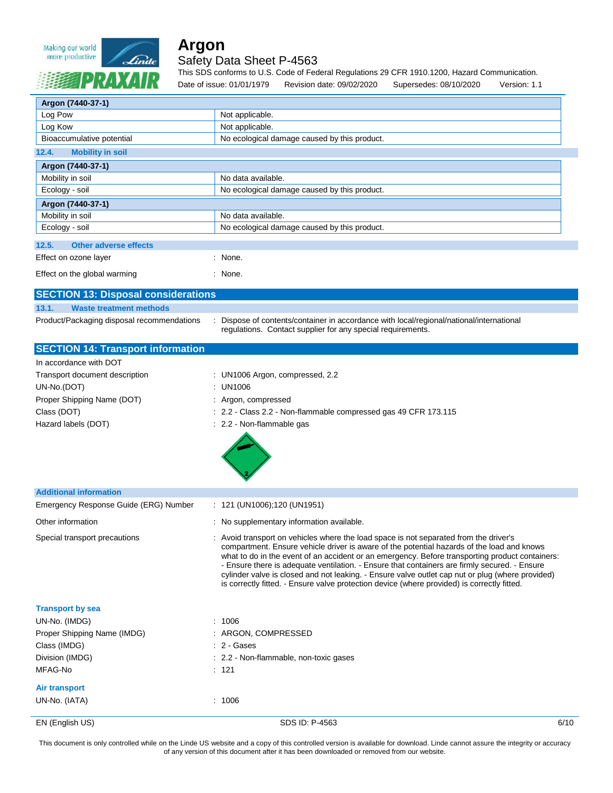

### Safety Data Sheet P-4563

This SDS conforms to U.S. Code of Federal Regulations 29 CFR 1910.1200, Hazard Communication. Date of issue: 01/01/1979 Revision date: 09/02/2020 Supersedes: 08/10/2020 Version: 1.1

| Argon (7440-37-1)                          |                                                                                                                                                                                                  |
|--------------------------------------------|--------------------------------------------------------------------------------------------------------------------------------------------------------------------------------------------------|
| Log Pow                                    | Not applicable.                                                                                                                                                                                  |
| Log Kow                                    | Not applicable.                                                                                                                                                                                  |
| Bioaccumulative potential                  | No ecological damage caused by this product.                                                                                                                                                     |
| <b>Mobility in soil</b><br>12.4.           |                                                                                                                                                                                                  |
|                                            |                                                                                                                                                                                                  |
| Argon (7440-37-1)                          |                                                                                                                                                                                                  |
| Mobility in soil                           | No data available.                                                                                                                                                                               |
| Ecology - soil                             | No ecological damage caused by this product.                                                                                                                                                     |
| Argon (7440-37-1)                          |                                                                                                                                                                                                  |
| Mobility in soil                           | No data available.                                                                                                                                                                               |
| Ecology - soil                             | No ecological damage caused by this product.                                                                                                                                                     |
| <b>Other adverse effects</b><br>12.5.      |                                                                                                                                                                                                  |
| Effect on ozone layer                      | : None.                                                                                                                                                                                          |
| Effect on the global warming               | : None.                                                                                                                                                                                          |
|                                            |                                                                                                                                                                                                  |
| <b>SECTION 13: Disposal considerations</b> |                                                                                                                                                                                                  |
| <b>Waste treatment methods</b><br>13.1.    |                                                                                                                                                                                                  |
| Product/Packaging disposal recommendations | : Dispose of contents/container in accordance with local/regional/national/international                                                                                                         |
|                                            | regulations. Contact supplier for any special requirements.                                                                                                                                      |
|                                            |                                                                                                                                                                                                  |
| <b>SECTION 14: Transport information</b>   |                                                                                                                                                                                                  |
| In accordance with DOT                     |                                                                                                                                                                                                  |
| Transport document description             | : UN1006 Argon, compressed, 2.2                                                                                                                                                                  |
| UN-No.(DOT)                                | UN1006                                                                                                                                                                                           |
| Proper Shipping Name (DOT)                 | : Argon, compressed                                                                                                                                                                              |
| Class (DOT)                                | : 2.2 - Class 2.2 - Non-flammable compressed gas 49 CFR 173.115                                                                                                                                  |
| Hazard labels (DOT)                        | : 2.2 - Non-flammable gas                                                                                                                                                                        |
|                                            |                                                                                                                                                                                                  |
|                                            |                                                                                                                                                                                                  |
|                                            |                                                                                                                                                                                                  |
|                                            |                                                                                                                                                                                                  |
| <b>Additional information</b>              |                                                                                                                                                                                                  |
| Emergency Response Guide (ERG) Number      | : 121 (UN1006); 120 (UN1951)                                                                                                                                                                     |
|                                            |                                                                                                                                                                                                  |
| Other information                          | : No supplementary information available.                                                                                                                                                        |
| Special transport precautions              | Avoid transport on vehicles where the load space is not separated from the driver's                                                                                                              |
|                                            | compartment. Ensure vehicle driver is aware of the potential hazards of the load and knows                                                                                                       |
|                                            | what to do in the event of an accident or an emergency. Before transporting product containers:<br>- Ensure there is adequate ventilation. - Ensure that containers are firmly secured. - Ensure |
|                                            | cylinder valve is closed and not leaking. - Ensure valve outlet cap nut or plug (where provided)                                                                                                 |
|                                            | is correctly fitted. - Ensure valve protection device (where provided) is correctly fitted.                                                                                                      |
|                                            |                                                                                                                                                                                                  |
| <b>Transport by sea</b>                    |                                                                                                                                                                                                  |
| UN-No. (IMDG)                              | : 1006                                                                                                                                                                                           |
| Proper Shipping Name (IMDG)                | : ARGON, COMPRESSED                                                                                                                                                                              |
| Class (IMDG)                               | : 2 - Gases                                                                                                                                                                                      |
| Division (IMDG)                            | : 2.2 - Non-flammable, non-toxic gases                                                                                                                                                           |
| MFAG-No                                    | : 121                                                                                                                                                                                            |
|                                            |                                                                                                                                                                                                  |
| <b>Air transport</b>                       |                                                                                                                                                                                                  |
| UN-No. (IATA)                              | : 1006                                                                                                                                                                                           |
| EN (English US)                            | SDS ID: P-4563<br>6/10                                                                                                                                                                           |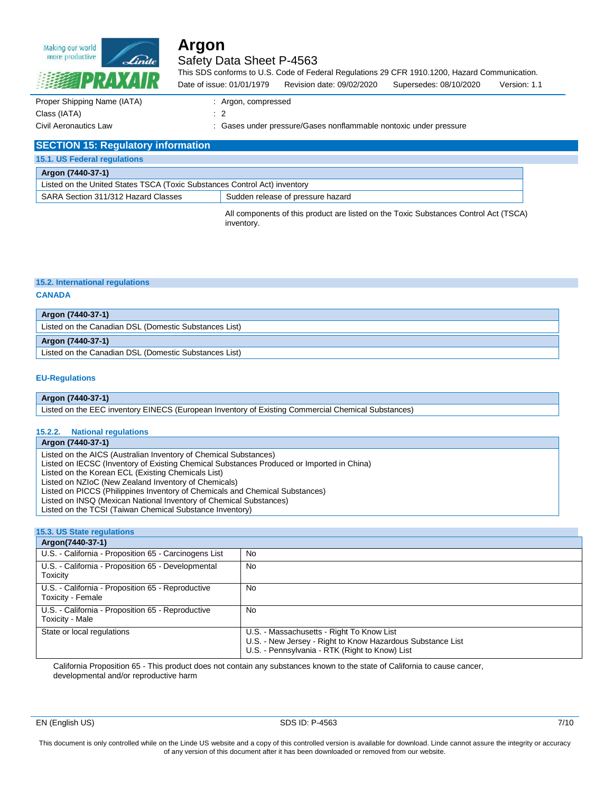

### Safety Data Sheet P-4563

This SDS conforms to U.S. Code of Federal Regulations 29 CFR 1910.1200, Hazard Communication. Date of issue: 01/01/1979 Revision date: 09/02/2020 Supersedes: 08/10/2020 Version: 1.1

Proper Shipping Name (IATA) : Argon, compressed Class (IATA) : 2

Civil Aeronautics Law : Gases under pressure/Gases nonflammable nontoxic under pressure

| <b>SECTION 15: Regulatory information</b>                                 |                                                                                      |
|---------------------------------------------------------------------------|--------------------------------------------------------------------------------------|
| <b>15.1. US Federal regulations</b>                                       |                                                                                      |
| Argon (7440-37-1)                                                         |                                                                                      |
| Listed on the United States TSCA (Toxic Substances Control Act) inventory |                                                                                      |
| SARA Section 311/312 Hazard Classes                                       | Sudden release of pressure hazard                                                    |
|                                                                           | All components of this product are listed on the Tovic Substances Control Act (TSCA) |

All components of this product are listed on the Toxic Substances Control Act (TSCA) inventory.

#### **15.2. International regulations CANADA**

| Argon $(7440-37-1)$                                   |
|-------------------------------------------------------|
| Listed on the Canadian DSL (Domestic Substances List) |
| Argon $(7440-37-1)$                                   |
|                                                       |

#### **EU-Regulations**

#### **Argon (7440-37-1)**

Listed on the EEC inventory EINECS (European Inventory of Existing Commercial Chemical Substances)

#### **15.2.2. National regulations**

#### **Argon (7440-37-1)**

Listed on the AICS (Australian Inventory of Chemical Substances)

Listed on IECSC (Inventory of Existing Chemical Substances Produced or Imported in China)

Listed on the Korean ECL (Existing Chemicals List)

Listed on NZIoC (New Zealand Inventory of Chemicals)

Listed on PICCS (Philippines Inventory of Chemicals and Chemical Substances)

Listed on INSQ (Mexican National Inventory of Chemical Substances)

Listed on the TCSI (Taiwan Chemical Substance Inventory)

### **15.3. US State regulations**

| Argon(7440-37-1)                                                       |                                                                                                                                                           |
|------------------------------------------------------------------------|-----------------------------------------------------------------------------------------------------------------------------------------------------------|
| U.S. - California - Proposition 65 - Carcinogens List                  | No                                                                                                                                                        |
| U.S. - California - Proposition 65 - Developmental<br>Toxicity         | No                                                                                                                                                        |
| U.S. - California - Proposition 65 - Reproductive<br>Toxicity - Female | <b>No</b>                                                                                                                                                 |
| U.S. - California - Proposition 65 - Reproductive<br>Toxicity - Male   | No                                                                                                                                                        |
| State or local regulations                                             | U.S. - Massachusetts - Right To Know List<br>U.S. - New Jersey - Right to Know Hazardous Substance List<br>U.S. - Pennsylvania - RTK (Right to Know) List |

California Proposition 65 - This product does not contain any substances known to the state of California to cause cancer, developmental and/or reproductive harm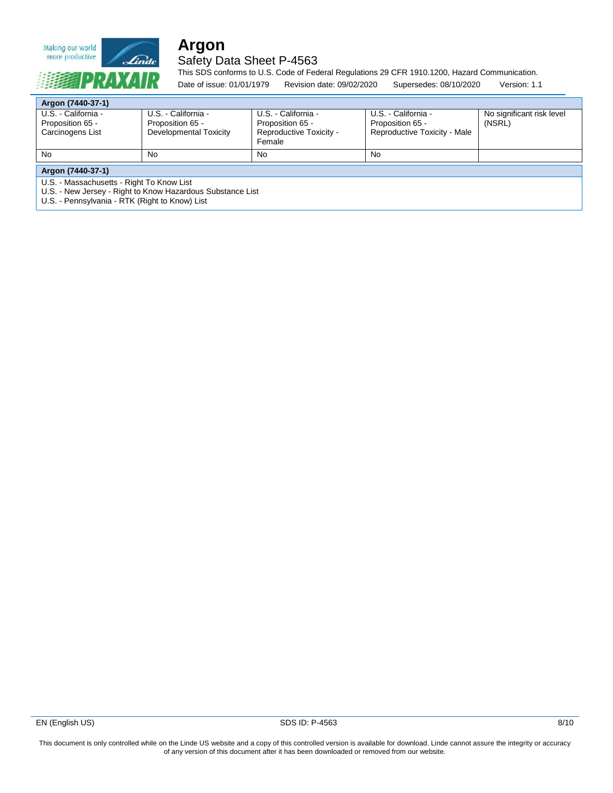

### Safety Data Sheet P-4563

This SDS conforms to U.S. Code of Federal Regulations 29 CFR 1910.1200, Hazard Communication. Date of issue: 01/01/1979 Revision date: 09/02/2020 Supersedes: 08/10/2020 Version: 1.1

| Argon (7440-37-1)                                                                                                                                                                                                                                                        |                                         |                                         |                                         |                                     |  |  |
|--------------------------------------------------------------------------------------------------------------------------------------------------------------------------------------------------------------------------------------------------------------------------|-----------------------------------------|-----------------------------------------|-----------------------------------------|-------------------------------------|--|--|
| U.S. - California -<br>Proposition 65 -                                                                                                                                                                                                                                  | U.S. - California -<br>Proposition 65 - | U.S. - California -<br>Proposition 65 - | U.S. - California -<br>Proposition 65 - | No significant risk level<br>(NSRL) |  |  |
| Carcinogens List                                                                                                                                                                                                                                                         | Developmental Toxicity                  | Reproductive Toxicity -<br>Female       | Reproductive Toxicity - Male            |                                     |  |  |
| <b>No</b>                                                                                                                                                                                                                                                                | No                                      | No                                      | No                                      |                                     |  |  |
| Argon (7440-37-1)                                                                                                                                                                                                                                                        |                                         |                                         |                                         |                                     |  |  |
| U.S. - Massachusetts - Right To Know List<br>U.S. - New Jersey - Right to Know Hazardous Substance List<br>$\mathbf{r} \cdot \mathbf{r}$ , $\mathbf{r} \cdot \mathbf{r}$ , $\mathbf{r} \cdot \mathbf{r}$ , $\mathbf{r} \cdot \mathbf{r}$ , $\mathbf{r} \cdot \mathbf{r}$ |                                         |                                         |                                         |                                     |  |  |

U.S. - Pennsylvania - RTK (Right to Know) List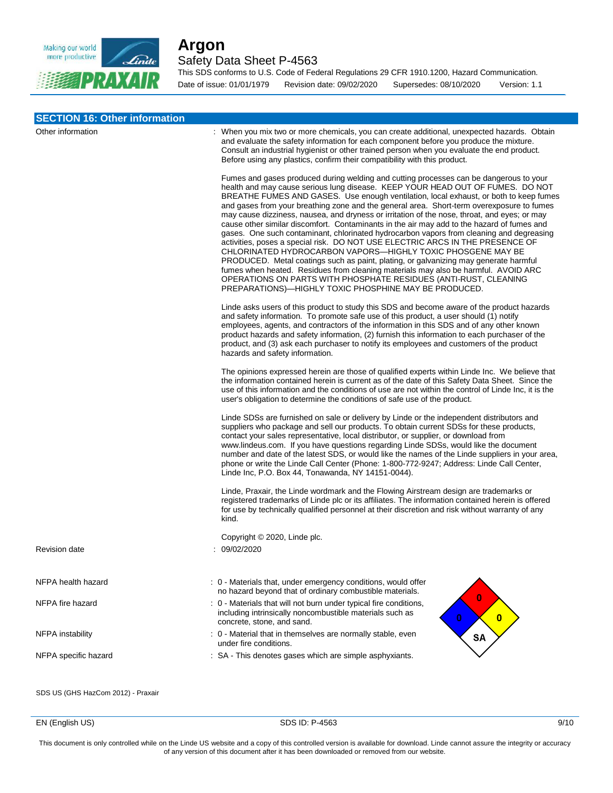

Safety Data Sheet P-4563

This SDS conforms to U.S. Code of Federal Regulations 29 CFR 1910.1200, Hazard Communication. Date of issue: 01/01/1979 Revision date: 09/02/2020 Supersedes: 08/10/2020 Version: 1.1

### **SECTION 16: Other information**

| Other information       | : When you mix two or more chemicals, you can create additional, unexpected hazards. Obtain<br>and evaluate the safety information for each component before you produce the mixture.<br>Consult an industrial hygienist or other trained person when you evaluate the end product.<br>Before using any plastics, confirm their compatibility with this product.                                                                                                                                                                                                                                                                                                                                                                                                                                                                                                                                                                                                                                                                                                                                                    |
|-------------------------|---------------------------------------------------------------------------------------------------------------------------------------------------------------------------------------------------------------------------------------------------------------------------------------------------------------------------------------------------------------------------------------------------------------------------------------------------------------------------------------------------------------------------------------------------------------------------------------------------------------------------------------------------------------------------------------------------------------------------------------------------------------------------------------------------------------------------------------------------------------------------------------------------------------------------------------------------------------------------------------------------------------------------------------------------------------------------------------------------------------------|
|                         | Fumes and gases produced during welding and cutting processes can be dangerous to your<br>health and may cause serious lung disease. KEEP YOUR HEAD OUT OF FUMES. DO NOT<br>BREATHE FUMES AND GASES. Use enough ventilation, local exhaust, or both to keep fumes<br>and gases from your breathing zone and the general area. Short-term overexposure to fumes<br>may cause dizziness, nausea, and dryness or irritation of the nose, throat, and eyes; or may<br>cause other similar discomfort. Contaminants in the air may add to the hazard of fumes and<br>gases. One such contaminant, chlorinated hydrocarbon vapors from cleaning and degreasing<br>activities, poses a special risk. DO NOT USE ELECTRIC ARCS IN THE PRESENCE OF<br>CHLORINATED HYDROCARBON VAPORS-HIGHLY TOXIC PHOSGENE MAY BE<br>PRODUCED. Metal coatings such as paint, plating, or galvanizing may generate harmful<br>fumes when heated. Residues from cleaning materials may also be harmful. AVOID ARC<br>OPERATIONS ON PARTS WITH PHOSPHATE RESIDUES (ANTI-RUST, CLEANING<br>PREPARATIONS)—HIGHLY TOXIC PHOSPHINE MAY BE PRODUCED. |
|                         | Linde asks users of this product to study this SDS and become aware of the product hazards<br>and safety information. To promote safe use of this product, a user should (1) notify<br>employees, agents, and contractors of the information in this SDS and of any other known<br>product hazards and safety information, (2) furnish this information to each purchaser of the<br>product, and (3) ask each purchaser to notify its employees and customers of the product<br>hazards and safety information.                                                                                                                                                                                                                                                                                                                                                                                                                                                                                                                                                                                                     |
|                         | The opinions expressed herein are those of qualified experts within Linde Inc. We believe that<br>the information contained herein is current as of the date of this Safety Data Sheet. Since the<br>use of this information and the conditions of use are not within the control of Linde Inc, it is the<br>user's obligation to determine the conditions of safe use of the product.                                                                                                                                                                                                                                                                                                                                                                                                                                                                                                                                                                                                                                                                                                                              |
|                         | Linde SDSs are furnished on sale or delivery by Linde or the independent distributors and<br>suppliers who package and sell our products. To obtain current SDSs for these products,<br>contact your sales representative, local distributor, or supplier, or download from<br>www.lindeus.com. If you have questions regarding Linde SDSs, would like the document<br>number and date of the latest SDS, or would like the names of the Linde suppliers in your area,<br>phone or write the Linde Call Center (Phone: 1-800-772-9247; Address: Linde Call Center,<br>Linde Inc, P.O. Box 44, Tonawanda, NY 14151-0044).                                                                                                                                                                                                                                                                                                                                                                                                                                                                                            |
|                         | Linde, Praxair, the Linde wordmark and the Flowing Airstream design are trademarks or<br>registered trademarks of Linde plc or its affiliates. The information contained herein is offered<br>for use by technically qualified personnel at their discretion and risk without warranty of any<br>kind.                                                                                                                                                                                                                                                                                                                                                                                                                                                                                                                                                                                                                                                                                                                                                                                                              |
|                         | Copyright © 2020, Linde plc.                                                                                                                                                                                                                                                                                                                                                                                                                                                                                                                                                                                                                                                                                                                                                                                                                                                                                                                                                                                                                                                                                        |
| <b>Revision date</b>    | : 09/02/2020                                                                                                                                                                                                                                                                                                                                                                                                                                                                                                                                                                                                                                                                                                                                                                                                                                                                                                                                                                                                                                                                                                        |
| NFPA health hazard      | : 0 - Materials that, under emergency conditions, would offer<br>no hazard beyond that of ordinary combustible materials.<br>$\bf{0}$                                                                                                                                                                                                                                                                                                                                                                                                                                                                                                                                                                                                                                                                                                                                                                                                                                                                                                                                                                               |
| NFPA fire hazard        | : 0 - Materials that will not burn under typical fire conditions,<br>including intrinsically noncombustible materials such as<br>$\mathbf{0}$<br>$\bf{0}$<br>concrete, stone, and sand.                                                                                                                                                                                                                                                                                                                                                                                                                                                                                                                                                                                                                                                                                                                                                                                                                                                                                                                             |
| <b>NFPA</b> instability | : 0 - Material that in themselves are normally stable, even<br><b>SA</b><br>under fire conditions.                                                                                                                                                                                                                                                                                                                                                                                                                                                                                                                                                                                                                                                                                                                                                                                                                                                                                                                                                                                                                  |
| NFPA specific hazard    | : SA - This denotes gases which are simple asphyxiants.                                                                                                                                                                                                                                                                                                                                                                                                                                                                                                                                                                                                                                                                                                                                                                                                                                                                                                                                                                                                                                                             |

SDS US (GHS HazCom 2012) - Praxair

EN (English US) SDS ID: P-4563 9/10